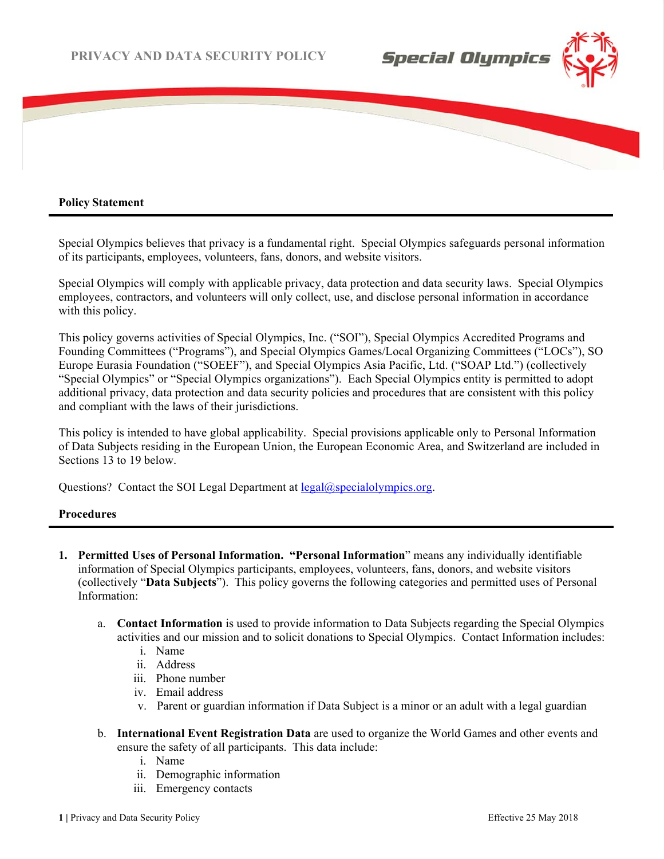

### **Policy Statement**

֚

Special Olympics believes that privacy is a fundamental right. Special Olympics safeguards personal information of its participants, employees, volunteers, fans, donors, and website visitors.

Special Olympics will comply with applicable privacy, data protection and data security laws. Special Olympics employees, contractors, and volunteers will only collect, use, and disclose personal information in accordance with this policy.

This policy governs activities of Special Olympics, Inc. ("SOI"), Special Olympics Accredited Programs and Founding Committees ("Programs"), and Special Olympics Games/Local Organizing Committees ("LOCs"), SO Europe Eurasia Foundation ("SOEEF"), and Special Olympics Asia Pacific, Ltd. ("SOAP Ltd.") (collectively "Special Olympics" or "Special Olympics organizations"). Each Special Olympics entity is permitted to adopt additional privacy, data protection and data security policies and procedures that are consistent with this policy and compliant with the laws of their jurisdictions.

This policy is intended to have global applicability. Special provisions applicable only to Personal Information of Data Subjects residing in the European Union, the European Economic Area, and Switzerland are included in Sections 13 to 19 below.

Questions? Contact the SOI Legal Department at legal@specialolympics.org.

#### **Procedures**

- **1. Permitted Uses of Personal Information. "Personal Information**" means any individually identifiable information of Special Olympics participants, employees, volunteers, fans, donors, and website visitors (collectively "**Data Subjects**"). This policy governs the following categories and permitted uses of Personal Information:
	- a. **Contact Information** is used to provide information to Data Subjects regarding the Special Olympics activities and our mission and to solicit donations to Special Olympics. Contact Information includes:
		- i. Name
		- ii. Address
		- iii. Phone number
		- iv. Email address
		- v. Parent or guardian information if Data Subject is a minor or an adult with a legal guardian
	- b. **International Event Registration Data** are used to organize the World Games and other events and ensure the safety of all participants. This data include:
		- i. Name
		- ii. Demographic information
		- iii. Emergency contacts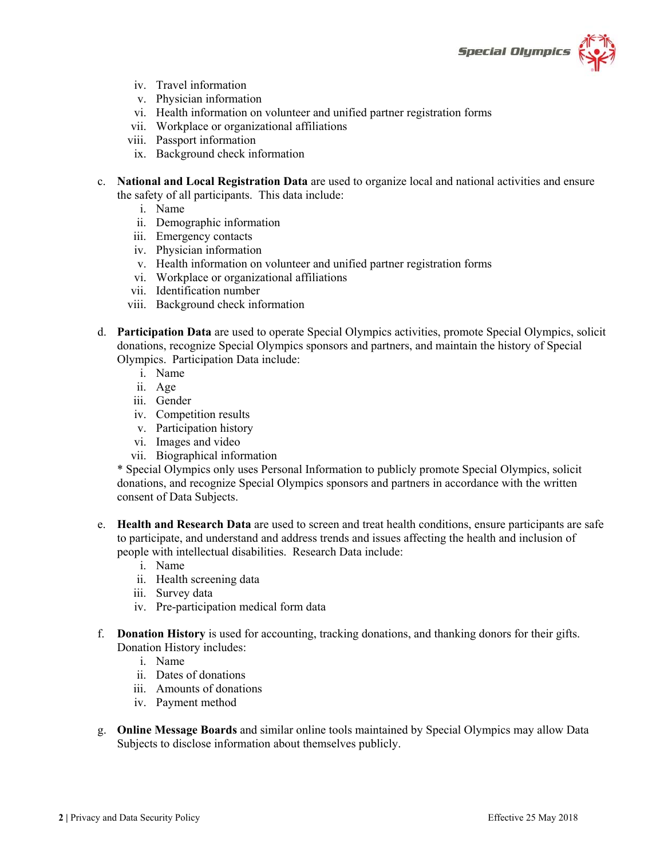

- iv. Travel information
- v. Physician information
- vi. Health information on volunteer and unified partner registration forms
- vii. Workplace or organizational affiliations
- viii. Passport information
- ix. Background check information
- c. **National and Local Registration Data** are used to organize local and national activities and ensure the safety of all participants. This data include:
	- i. Name
	- ii. Demographic information
	- iii. Emergency contacts
	- iv. Physician information
	- v. Health information on volunteer and unified partner registration forms
	- vi. Workplace or organizational affiliations
	- vii. Identification number
	- viii. Background check information
- d. **Participation Data** are used to operate Special Olympics activities, promote Special Olympics, solicit donations, recognize Special Olympics sponsors and partners, and maintain the history of Special Olympics. Participation Data include:
	- i. Name
	- ii. Age
	- iii. Gender
	- iv. Competition results
	- v. Participation history
	- vi. Images and video
	- vii. Biographical information

\* Special Olympics only uses Personal Information to publicly promote Special Olympics, solicit donations, and recognize Special Olympics sponsors and partners in accordance with the written consent of Data Subjects.

- e. **Health and Research Data** are used to screen and treat health conditions, ensure participants are safe to participate, and understand and address trends and issues affecting the health and inclusion of people with intellectual disabilities. Research Data include:
	- i. Name
	- ii. Health screening data
	- iii. Survey data
	- iv. Pre-participation medical form data
- f. **Donation History** is used for accounting, tracking donations, and thanking donors for their gifts. Donation History includes:
	- i. Name
	- ii. Dates of donations
	- iii. Amounts of donations
	- iv. Payment method
- g. **Online Message Boards** and similar online tools maintained by Special Olympics may allow Data Subjects to disclose information about themselves publicly.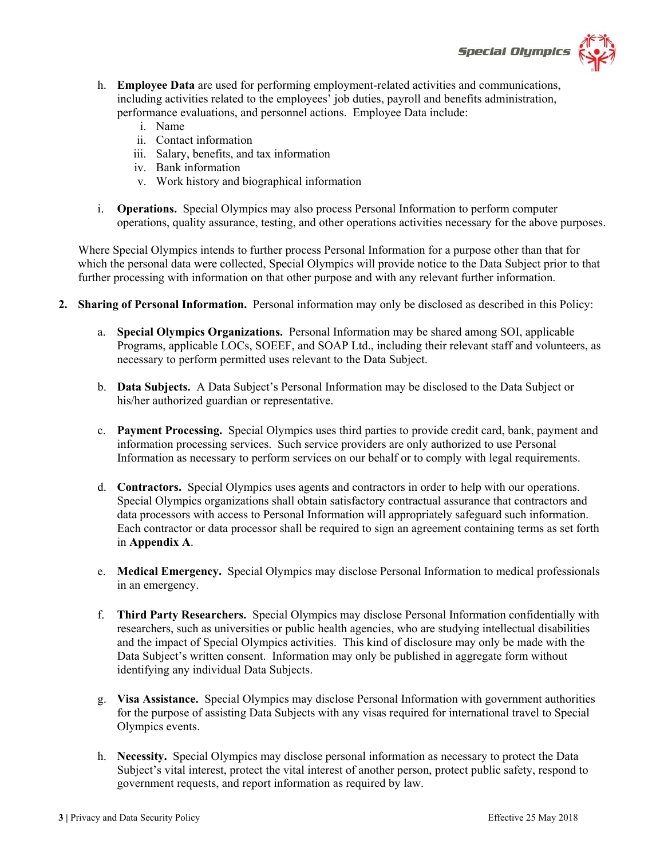# **Special Olympics**

- h. **Employee Data** are used for performing employment-related activities and communications, including activities related to the employees' job duties, payroll and benefits administration, performance evaluations, and personnel actions. Employee Data include:
	- i. Name
	- ii. Contact information
	- iii. Salary, benefits, and tax information
	- iv. Bank information
	- v. Work history and biographical information
- i. **Operations.** Special Olympics may also process Personal Information to perform computer operations, quality assurance, testing, and other operations activities necessary for the above purposes.

Where Special Olympics intends to further process Personal Information for a purpose other than that for which the personal data were collected, Special Olympics will provide notice to the Data Subject prior to that further processing with information on that other purpose and with any relevant further information.

- **2. Sharing of Personal Information.** Personal information may only be disclosed as described in this Policy:
	- a. **Special Olympics Organizations.** Personal Information may be shared among SOI, applicable Programs, applicable LOCs, SOEEF, and SOAP Ltd., including their relevant staff and volunteers, as necessary to perform permitted uses relevant to the Data Subject.
	- b. **Data Subjects.** A Data Subject's Personal Information may be disclosed to the Data Subject or his/her authorized guardian or representative.
	- c. **Payment Processing.** Special Olympics uses third parties to provide credit card, bank, payment and information processing services. Such service providers are only authorized to use Personal Information as necessary to perform services on our behalf or to comply with legal requirements.
	- d. **Contractors.** Special Olympics uses agents and contractors in order to help with our operations. Special Olympics organizations shall obtain satisfactory contractual assurance that contractors and data processors with access to Personal Information will appropriately safeguard such information. Each contractor or data processor shall be required to sign an agreement containing terms as set forth in **Appendix A**.
	- e. **Medical Emergency.** Special Olympics may disclose Personal Information to medical professionals in an emergency.
	- f. **Third Party Researchers.** Special Olympics may disclose Personal Information confidentially with researchers, such as universities or public health agencies, who are studying intellectual disabilities and the impact of Special Olympics activities. This kind of disclosure may only be made with the Data Subject's written consent. Information may only be published in aggregate form without identifying any individual Data Subjects.
	- g. **Visa Assistance.** Special Olympics may disclose Personal Information with government authorities for the purpose of assisting Data Subjects with any visas required for international travel to Special Olympics events.
	- h. **Necessity.** Special Olympics may disclose personal information as necessary to protect the Data Subject's vital interest, protect the vital interest of another person, protect public safety, respond to government requests, and report information as required by law.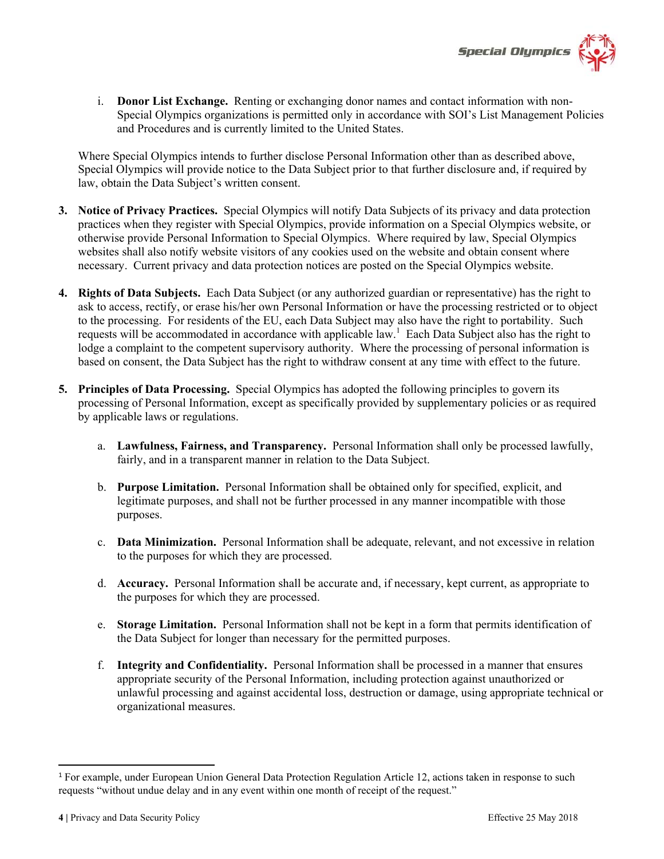

i. **Donor List Exchange.** Renting or exchanging donor names and contact information with non-Special Olympics organizations is permitted only in accordance with SOI's List Management Policies and Procedures and is currently limited to the United States.

Where Special Olympics intends to further disclose Personal Information other than as described above, Special Olympics will provide notice to the Data Subject prior to that further disclosure and, if required by law, obtain the Data Subject's written consent.

- **3. Notice of Privacy Practices.** Special Olympics will notify Data Subjects of its privacy and data protection practices when they register with Special Olympics, provide information on a Special Olympics website, or otherwise provide Personal Information to Special Olympics. Where required by law, Special Olympics websites shall also notify website visitors of any cookies used on the website and obtain consent where necessary. Current privacy and data protection notices are posted on the Special Olympics website.
- **4. Rights of Data Subjects.** Each Data Subject (or any authorized guardian or representative) has the right to ask to access, rectify, or erase his/her own Personal Information or have the processing restricted or to object to the processing. For residents of the EU, each Data Subject may also have the right to portability. Such requests will be accommodated in accordance with applicable law. 1 Each Data Subject also has the right to lodge a complaint to the competent supervisory authority. Where the processing of personal information is based on consent, the Data Subject has the right to withdraw consent at any time with effect to the future.
- **5. Principles of Data Processing.** Special Olympics has adopted the following principles to govern its processing of Personal Information, except as specifically provided by supplementary policies or as required by applicable laws or regulations.
	- a. **Lawfulness, Fairness, and Transparency.** Personal Information shall only be processed lawfully, fairly, and in a transparent manner in relation to the Data Subject.
	- b. **Purpose Limitation.** Personal Information shall be obtained only for specified, explicit, and legitimate purposes, and shall not be further processed in any manner incompatible with those purposes.
	- c. **Data Minimization.** Personal Information shall be adequate, relevant, and not excessive in relation to the purposes for which they are processed.
	- d. **Accuracy.** Personal Information shall be accurate and, if necessary, kept current, as appropriate to the purposes for which they are processed.
	- e. **Storage Limitation.** Personal Information shall not be kept in a form that permits identification of the Data Subject for longer than necessary for the permitted purposes.
	- f. **Integrity and Confidentiality.** Personal Information shall be processed in a manner that ensures appropriate security of the Personal Information, including protection against unauthorized or unlawful processing and against accidental loss, destruction or damage, using appropriate technical or organizational measures.

<sup>1</sup> For example, under European Union General Data Protection Regulation Article 12, actions taken in response to such requests "without undue delay and in any event within one month of receipt of the request."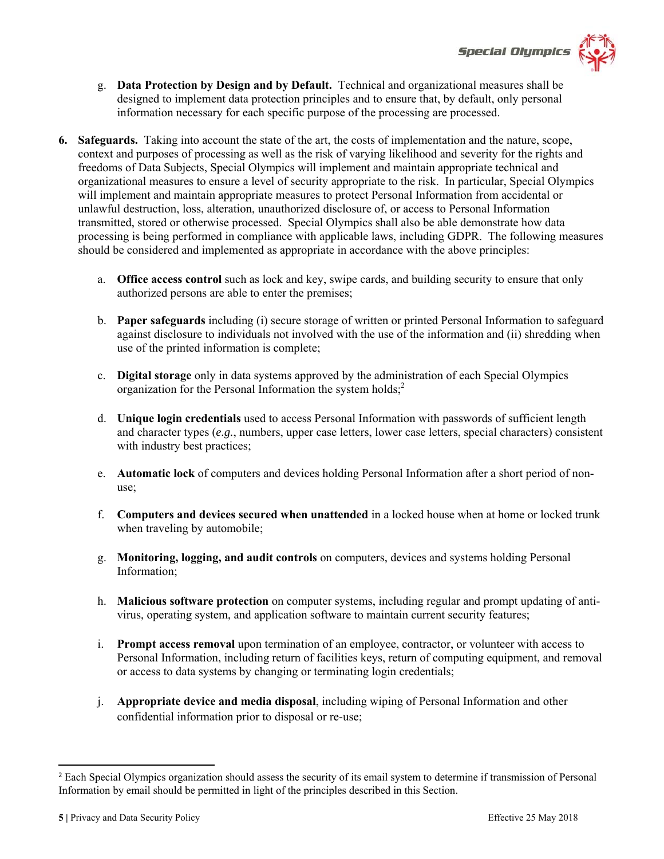



- g. **Data Protection by Design and by Default.** Technical and organizational measures shall be designed to implement data protection principles and to ensure that, by default, only personal information necessary for each specific purpose of the processing are processed.
- **6. Safeguards.** Taking into account the state of the art, the costs of implementation and the nature, scope, context and purposes of processing as well as the risk of varying likelihood and severity for the rights and freedoms of Data Subjects, Special Olympics will implement and maintain appropriate technical and organizational measures to ensure a level of security appropriate to the risk. In particular, Special Olympics will implement and maintain appropriate measures to protect Personal Information from accidental or unlawful destruction, loss, alteration, unauthorized disclosure of, or access to Personal Information transmitted, stored or otherwise processed. Special Olympics shall also be able demonstrate how data processing is being performed in compliance with applicable laws, including GDPR. The following measures should be considered and implemented as appropriate in accordance with the above principles:
	- a. **Office access control** such as lock and key, swipe cards, and building security to ensure that only authorized persons are able to enter the premises;
	- b. **Paper safeguards** including (i) secure storage of written or printed Personal Information to safeguard against disclosure to individuals not involved with the use of the information and (ii) shredding when use of the printed information is complete;
	- c. **Digital storage** only in data systems approved by the administration of each Special Olympics organization for the Personal Information the system holds;<sup>2</sup>
	- d. **Unique login credentials** used to access Personal Information with passwords of sufficient length and character types (*e.g.*, numbers, upper case letters, lower case letters, special characters) consistent with industry best practices;
	- e. **Automatic lock** of computers and devices holding Personal Information after a short period of nonuse;
	- f. **Computers and devices secured when unattended** in a locked house when at home or locked trunk when traveling by automobile;
	- g. **Monitoring, logging, and audit controls** on computers, devices and systems holding Personal Information;
	- h. **Malicious software protection** on computer systems, including regular and prompt updating of antivirus, operating system, and application software to maintain current security features;
	- i. **Prompt access removal** upon termination of an employee, contractor, or volunteer with access to Personal Information, including return of facilities keys, return of computing equipment, and removal or access to data systems by changing or terminating login credentials;
	- j. **Appropriate device and media disposal**, including wiping of Personal Information and other confidential information prior to disposal or re-use;

<sup>&</sup>lt;sup>2</sup> Each Special Olympics organization should assess the security of its email system to determine if transmission of Personal Information by email should be permitted in light of the principles described in this Section.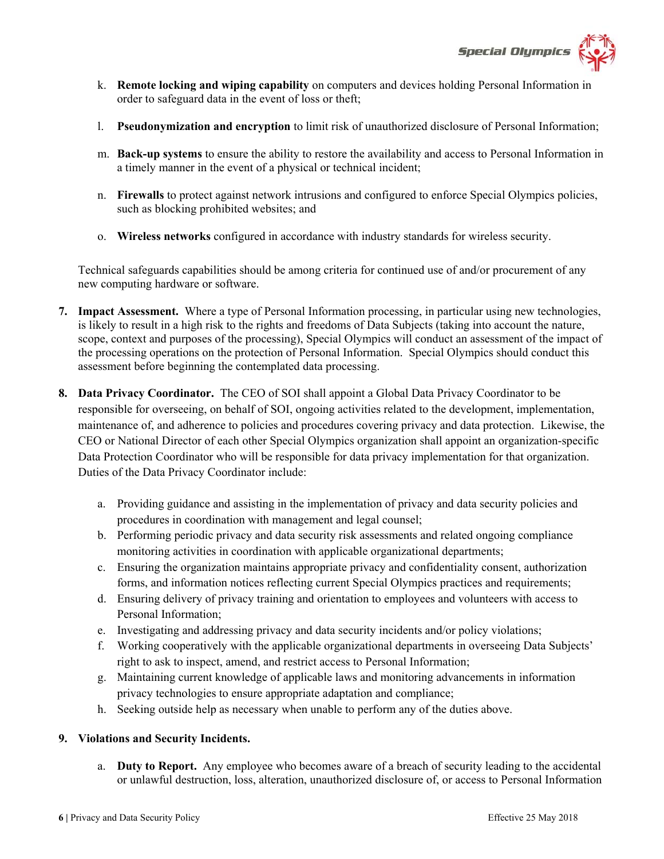

- k. **Remote locking and wiping capability** on computers and devices holding Personal Information in order to safeguard data in the event of loss or theft;
- l. **Pseudonymization and encryption** to limit risk of unauthorized disclosure of Personal Information;
- m. **Back-up systems** to ensure the ability to restore the availability and access to Personal Information in a timely manner in the event of a physical or technical incident;
- n. **Firewalls** to protect against network intrusions and configured to enforce Special Olympics policies, such as blocking prohibited websites; and
- o. **Wireless networks** configured in accordance with industry standards for wireless security.

Technical safeguards capabilities should be among criteria for continued use of and/or procurement of any new computing hardware or software.

- **7. Impact Assessment.** Where a type of Personal Information processing, in particular using new technologies, is likely to result in a high risk to the rights and freedoms of Data Subjects (taking into account the nature, scope, context and purposes of the processing), Special Olympics will conduct an assessment of the impact of the processing operations on the protection of Personal Information. Special Olympics should conduct this assessment before beginning the contemplated data processing.
- **8. Data Privacy Coordinator.** The CEO of SOI shall appoint a Global Data Privacy Coordinator to be responsible for overseeing, on behalf of SOI, ongoing activities related to the development, implementation, maintenance of, and adherence to policies and procedures covering privacy and data protection. Likewise, the CEO or National Director of each other Special Olympics organization shall appoint an organization-specific Data Protection Coordinator who will be responsible for data privacy implementation for that organization. Duties of the Data Privacy Coordinator include:
	- a. Providing guidance and assisting in the implementation of privacy and data security policies and procedures in coordination with management and legal counsel;
	- b. Performing periodic privacy and data security risk assessments and related ongoing compliance monitoring activities in coordination with applicable organizational departments;
	- c. Ensuring the organization maintains appropriate privacy and confidentiality consent, authorization forms, and information notices reflecting current Special Olympics practices and requirements;
	- d. Ensuring delivery of privacy training and orientation to employees and volunteers with access to Personal Information;
	- e. Investigating and addressing privacy and data security incidents and/or policy violations;
	- f. Working cooperatively with the applicable organizational departments in overseeing Data Subjects' right to ask to inspect, amend, and restrict access to Personal Information;
	- g. Maintaining current knowledge of applicable laws and monitoring advancements in information privacy technologies to ensure appropriate adaptation and compliance;
	- h. Seeking outside help as necessary when unable to perform any of the duties above.

#### **9. Violations and Security Incidents.**

a. **Duty to Report.** Any employee who becomes aware of a breach of security leading to the accidental or unlawful destruction, loss, alteration, unauthorized disclosure of, or access to Personal Information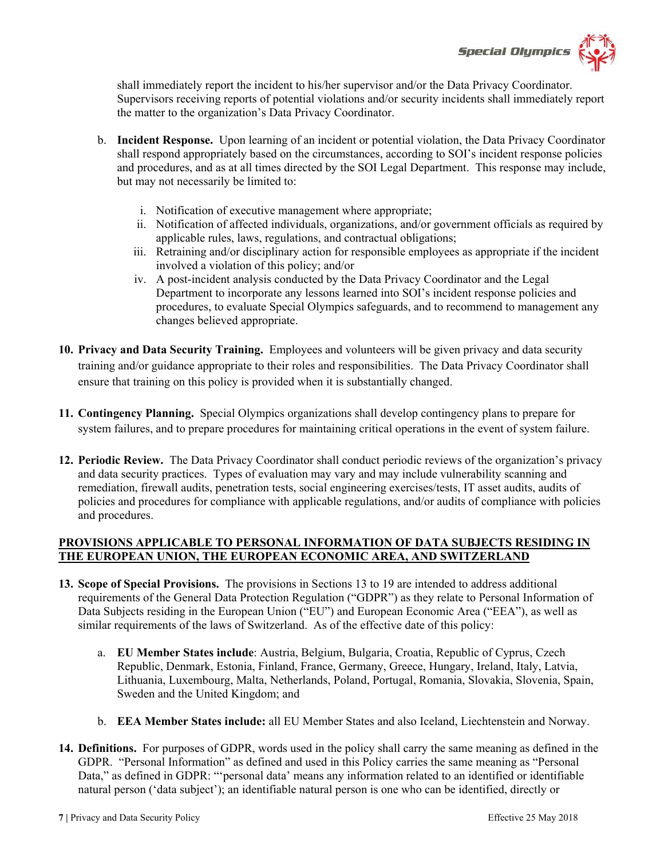

shall immediately report the incident to his/her supervisor and/or the Data Privacy Coordinator. Supervisors receiving reports of potential violations and/or security incidents shall immediately report the matter to the organization's Data Privacy Coordinator.

- b. **Incident Response.** Upon learning of an incident or potential violation, the Data Privacy Coordinator shall respond appropriately based on the circumstances, according to SOI's incident response policies and procedures, and as at all times directed by the SOI Legal Department. This response may include, but may not necessarily be limited to:
	- i. Notification of executive management where appropriate;
	- ii. Notification of affected individuals, organizations, and/or government officials as required by applicable rules, laws, regulations, and contractual obligations;
	- iii. Retraining and/or disciplinary action for responsible employees as appropriate if the incident involved a violation of this policy; and/or
	- iv. A post-incident analysis conducted by the Data Privacy Coordinator and the Legal Department to incorporate any lessons learned into SOI's incident response policies and procedures, to evaluate Special Olympics safeguards, and to recommend to management any changes believed appropriate.
- **10. Privacy and Data Security Training.** Employees and volunteers will be given privacy and data security training and/or guidance appropriate to their roles and responsibilities. The Data Privacy Coordinator shall ensure that training on this policy is provided when it is substantially changed.
- **11. Contingency Planning.** Special Olympics organizations shall develop contingency plans to prepare for system failures, and to prepare procedures for maintaining critical operations in the event of system failure.
- **12. Periodic Review.** The Data Privacy Coordinator shall conduct periodic reviews of the organization's privacy and data security practices. Types of evaluation may vary and may include vulnerability scanning and remediation, firewall audits, penetration tests, social engineering exercises/tests, IT asset audits, audits of policies and procedures for compliance with applicable regulations, and/or audits of compliance with policies and procedures.

## **PROVISIONS APPLICABLE TO PERSONAL INFORMATION OF DATA SUBJECTS RESIDING IN THE EUROPEAN UNION, THE EUROPEAN ECONOMIC AREA, AND SWITZERLAND**

- **13. Scope of Special Provisions.** The provisions in Sections 13 to 19 are intended to address additional requirements of the General Data Protection Regulation ("GDPR") as they relate to Personal Information of Data Subjects residing in the European Union ("EU") and European Economic Area ("EEA"), as well as similar requirements of the laws of Switzerland. As of the effective date of this policy:
	- a. **EU Member States include**: Austria, Belgium, Bulgaria, Croatia, Republic of Cyprus, Czech Republic, Denmark, Estonia, Finland, France, Germany, Greece, Hungary, Ireland, Italy, Latvia, Lithuania, Luxembourg, Malta, Netherlands, Poland, Portugal, Romania, Slovakia, Slovenia, Spain, Sweden and the United Kingdom; and
	- b. **EEA Member States include:** all EU Member States and also Iceland, Liechtenstein and Norway.
- **14. Definitions.** For purposes of GDPR, words used in the policy shall carry the same meaning as defined in the GDPR. "Personal Information" as defined and used in this Policy carries the same meaning as "Personal Data," as defined in GDPR: "'personal data' means any information related to an identified or identifiable natural person ('data subject'); an identifiable natural person is one who can be identified, directly or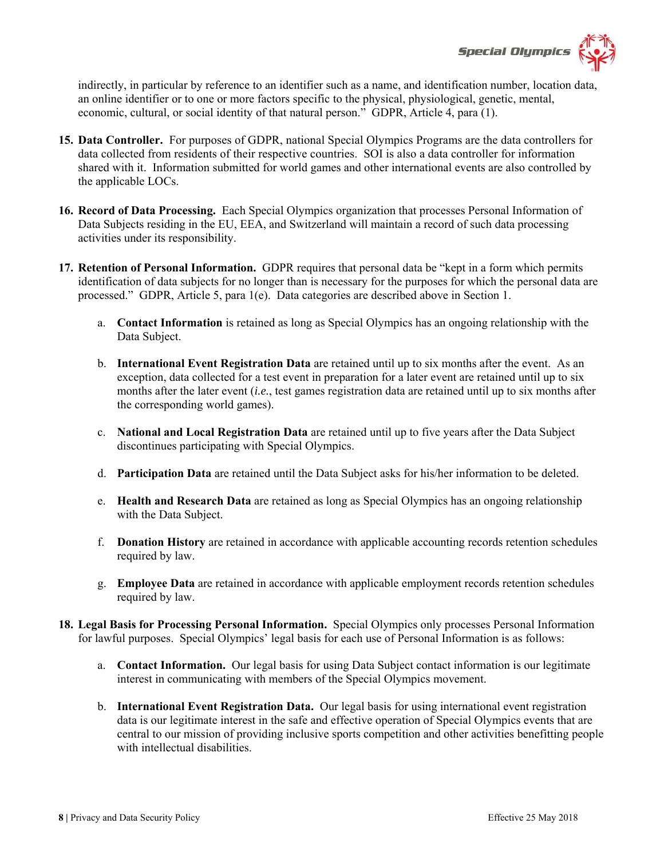

indirectly, in particular by reference to an identifier such as a name, and identification number, location data, an online identifier or to one or more factors specific to the physical, physiological, genetic, mental, economic, cultural, or social identity of that natural person." GDPR, Article 4, para (1).

- **15. Data Controller.** For purposes of GDPR, national Special Olympics Programs are the data controllers for data collected from residents of their respective countries. SOI is also a data controller for information shared with it. Information submitted for world games and other international events are also controlled by the applicable LOCs.
- **16. Record of Data Processing.** Each Special Olympics organization that processes Personal Information of Data Subjects residing in the EU, EEA, and Switzerland will maintain a record of such data processing activities under its responsibility.
- **17. Retention of Personal Information.** GDPR requires that personal data be "kept in a form which permits identification of data subjects for no longer than is necessary for the purposes for which the personal data are processed." GDPR, Article 5, para 1(e). Data categories are described above in Section 1.
	- a. **Contact Information** is retained as long as Special Olympics has an ongoing relationship with the Data Subject.
	- b. **International Event Registration Data** are retained until up to six months after the event. As an exception, data collected for a test event in preparation for a later event are retained until up to six months after the later event (*i.e.*, test games registration data are retained until up to six months after the corresponding world games).
	- c. **National and Local Registration Data** are retained until up to five years after the Data Subject discontinues participating with Special Olympics.
	- d. **Participation Data** are retained until the Data Subject asks for his/her information to be deleted.
	- e. **Health and Research Data** are retained as long as Special Olympics has an ongoing relationship with the Data Subject.
	- f. **Donation History** are retained in accordance with applicable accounting records retention schedules required by law.
	- g. **Employee Data** are retained in accordance with applicable employment records retention schedules required by law.
- **18. Legal Basis for Processing Personal Information.** Special Olympics only processes Personal Information for lawful purposes. Special Olympics' legal basis for each use of Personal Information is as follows:
	- a. **Contact Information.** Our legal basis for using Data Subject contact information is our legitimate interest in communicating with members of the Special Olympics movement.
	- b. **International Event Registration Data.** Our legal basis for using international event registration data is our legitimate interest in the safe and effective operation of Special Olympics events that are central to our mission of providing inclusive sports competition and other activities benefitting people with intellectual disabilities.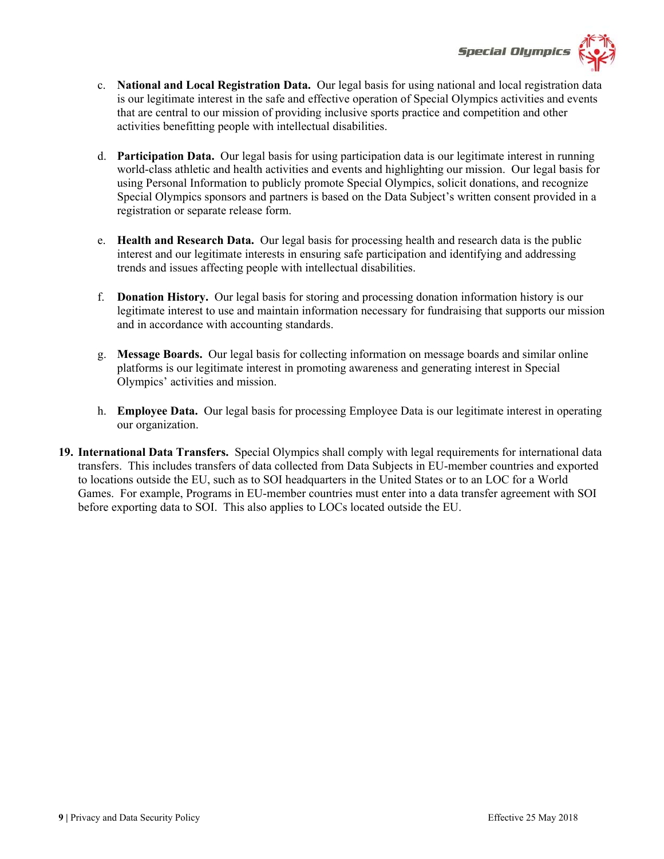

- c. **National and Local Registration Data.** Our legal basis for using national and local registration data is our legitimate interest in the safe and effective operation of Special Olympics activities and events that are central to our mission of providing inclusive sports practice and competition and other activities benefitting people with intellectual disabilities.
- d. **Participation Data.** Our legal basis for using participation data is our legitimate interest in running world-class athletic and health activities and events and highlighting our mission. Our legal basis for using Personal Information to publicly promote Special Olympics, solicit donations, and recognize Special Olympics sponsors and partners is based on the Data Subject's written consent provided in a registration or separate release form.
- e. **Health and Research Data.** Our legal basis for processing health and research data is the public interest and our legitimate interests in ensuring safe participation and identifying and addressing trends and issues affecting people with intellectual disabilities.
- f. **Donation History.** Our legal basis for storing and processing donation information history is our legitimate interest to use and maintain information necessary for fundraising that supports our mission and in accordance with accounting standards.
- g. **Message Boards.** Our legal basis for collecting information on message boards and similar online platforms is our legitimate interest in promoting awareness and generating interest in Special Olympics' activities and mission.
- h. **Employee Data.** Our legal basis for processing Employee Data is our legitimate interest in operating our organization.
- **19. International Data Transfers.** Special Olympics shall comply with legal requirements for international data transfers. This includes transfers of data collected from Data Subjects in EU-member countries and exported to locations outside the EU, such as to SOI headquarters in the United States or to an LOC for a World Games. For example, Programs in EU-member countries must enter into a data transfer agreement with SOI before exporting data to SOI. This also applies to LOCs located outside the EU.